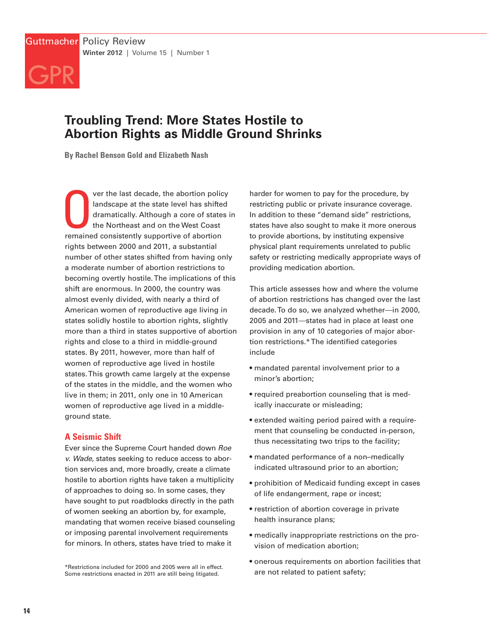

# **Troubling Trend: More States Hostile to Abortion Rights as Middle Ground Shrinks**

**By Rachel Benson Gold and Elizabeth Nash**

Ver the last decade, the abortion polition<br>dramatically. Although a core of state<br>the Northeast and on the West Coast<br>remained consistently supportive of abortion ver the last decade, the abortion policy landscape at the state level has shifted dramatically. Although a core of states in the Northeast and on the West Coast rights between 2000 and 2011, a substantial number of other states shifted from having only a moderate number of abortion restrictions to becoming overtly hostile. The implications of this shift are enormous. In 2000, the country was almost evenly divided, with nearly a third of American women of reproductive age living in states solidly hostile to abortion rights, slightly more than a third in states supportive of abortion rights and close to a third in middle-ground states. By 2011, however, more than half of women of reproductive age lived in hostile states. This growth came largely at the expense of the states in the middle, and the women who live in them; in 2011, only one in 10 American women of reproductive age lived in a middleground state.

## **A Seismic Shift**

Ever since the Supreme Court handed down Roe v. Wade, states seeking to reduce access to abortion services and, more broadly, create a climate hostile to abortion rights have taken a multiplicity of approaches to doing so. In some cases, they have sought to put roadblocks directly in the path of women seeking an abortion by, for example, mandating that women receive biased counseling or imposing parental involvement requirements for minors. In others, states have tried to make it

\*Restrictions included for 2000 and 2005 were all in effect. Some restrictions enacted in 2011 are still being litigated.

harder for women to pay for the procedure, by restricting public or private insurance coverage. In addition to these "demand side" restrictions, states have also sought to make it more onerous to provide abortions, by instituting expensive physical plant requirements unrelated to public safety or restricting medically appropriate ways of providing medication abortion.

This article assesses how and where the volume of abortion restrictions has changed over the last decade. To do so, we analyzed whether—in 2000, 2005 and 2011—states had in place at least one provision in any of 10 categories of major abortion restrictions.\* The identified categories include

- mandated parental involvement prior to a minor's abortion;
- required preabortion counseling that is medically inaccurate or misleading;
- extended waiting period paired with a requirement that counseling be conducted in-person, thus necessitating two trips to the facility;
- mandated performance of a non–medically indicated ultrasound prior to an abortion;
- prohibition of Medicaid funding except in cases of life endangerment, rape or incest;
- restriction of abortion coverage in private health insurance plans;
- medically inappropriate restrictions on the provision of medication abortion;
- onerous requirements on abortion facilities that are not related to patient safety;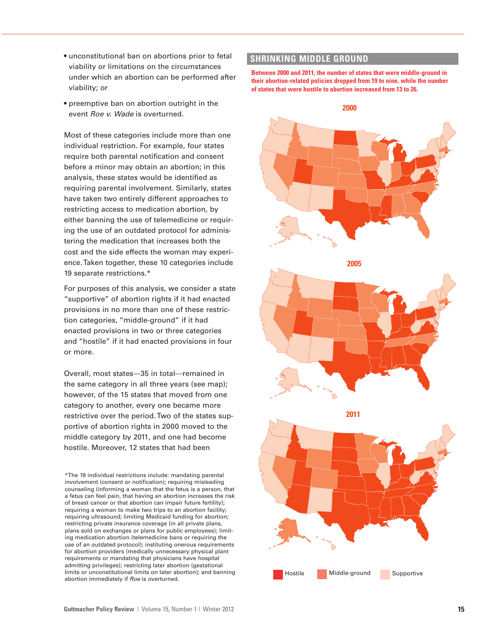- unconstitutional ban on abortions prior to fetal viability or limitations on the circumstances under which an abortion can be performed after viability; or
- preemptive ban on abortion outright in the event Roe v. Wade is overturned.

Most of these categories include more than one individual restriction. For example, four states require both parental notification and consent before a minor may obtain an abortion; in this analysis, these states would be identified as requiring parental involvement. Similarly, states have taken two entirely different approaches to restricting access to medication abortion, by either banning the use of telemedicine or requiring the use of an outdated protocol for administering the medication that increases both the cost and the side effects the woman may experience. Taken together, these 10 categories include 19 separate restrictions.\*

For purposes of this analysis, we consider a state "supportive" of abortion rights if it had enacted provisions in no more than one of these restriction categories, "middle-ground" if it had enacted provisions in two or three categories and "hostile" if it had enacted provisions in four or more.

Overall, most states—35 in total—remained in the same category in all three years (see map); however, of the 15 states that moved from one category to another, every one became more restrictive over the period. Two of the states supportive of abortion rights in 2000 moved to the middle category by 2011, and one had become hostile. Moreover, 12 states that had been

\*The 19 individual restrictions include: mandating parental involvement (consent or notification); requiring misleading counseling (informing a woman that the fetus is a person, that a fetus can feel pain, that having an abortion increases the risk of breast cancer or that abortion can impair future fertility); requiring a woman to make two trips to an abortion facility; requiring ultrasound; limiting Medicaid funding for abortion; restricting private insurance coverage (in all private plans, plans sold on exchanges or plans for public employees); limiting medication abortion (telemedicine bans or requiring the use of an outdated protocol); instituting onerous requirements for abortion providers (medically unnecessary physical plant requirements or mandating that physicians have hospital admitting privileges); restricting later abortion (gestational limits or unconstitutional limits on later abortion); and banning abortion immediately if Roe is overturned.

## **SHRINKING MIDDLE GROUND**

**Between 2000 and 2011, the number of states that were middle-ground in their abortion-related policies dropped from 19 to nine, while the number of states that were hostile to abortion increased from 13 to 26.**

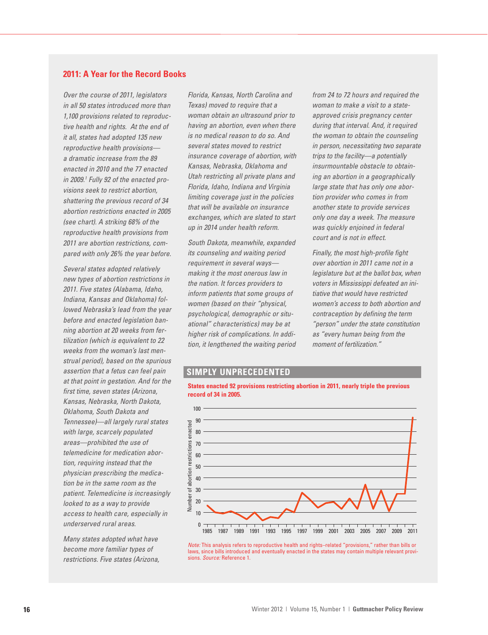## **2011: A Year for the Record Books**

Over the course of 2011, legislators in all 50 states introduced more than 1,100 provisions related to reproductive health and rights. At the end of it all, states had adopted 135 new reproductive health provisions a dramatic increase from the 89 enacted in 2010 and the 77 enacted in 2009.<sup>1</sup> Fully 92 of the enacted provisions seek to restrict abortion, shattering the previous record of 34 abortion restrictions enacted in 2005 (see chart). A striking 68% of the reproductive health provisions from 2011 are abortion restrictions, compared with only 26% the year before.

Several states adopted relatively new types of abortion restrictions in 2011. Five states (Alabama, Idaho, Indiana, Kansas and Oklahoma) followed Nebraska's lead from the year before and enacted legislation banning abortion at 20 weeks from fertilization (which is equivalent to 22 weeks from the woman's last menstrual period), based on the spurious assertion that a fetus can feel pain at that point in gestation. And for the first time, seven states (Arizona, Kansas, Nebraska, North Dakota, Oklahoma, South Dakota and Tennessee)—all largely rural states with large, scarcely populated areas—prohibited the use of telemedicine for medication abortion, requiring instead that the physician prescribing the medication be in the same room as the patient. Telemedicine is increasingly looked to as a way to provide access to health care, especially in underserved rural areas.

Many states adopted what have become more familiar types of restrictions. Five states (Arizona, Florida, Kansas, North Carolina and Texas) moved to require that a woman obtain an ultrasound prior to having an abortion, even when there is no medical reason to do so. And several states moved to restrict insurance coverage of abortion, with Kansas, Nebraska, Oklahoma and Utah restricting all private plans and Florida, Idaho, Indiana and Virginia limiting coverage just in the policies that will be available on insurance exchanges, which are slated to start up in 2014 under health reform.

South Dakota, meanwhile, expanded its counseling and waiting period requirement in several ways making it the most onerous law in the nation. It forces providers to inform patients that some groups of women (based on their "physical, psychological, demographic or situational" characteristics) may be at higher risk of complications. In addition, it lengthened the waiting period from 24 to 72 hours and required the woman to make a visit to a stateapproved crisis pregnancy center during that interval. And, it required the woman to obtain the counseling in person, necessitating two separate trips to the facility—a potentially insurmountable obstacle to obtaining an abortion in a geographically large state that has only one abortion provider who comes in from another state to provide services only one day a week. The measure was quickly enjoined in federal court and is not in effect.

Finally, the most high-profile fight over abortion in 2011 came not in a legislature but at the ballot box, when voters in Mississippi defeated an initiative that would have restricted women's access to both abortion and contraception by defining the term "person" under the state constitution as "every human being from the moment of fertilization."

#### **SIMPLY UNPRECEDENTED**





Note: This analysis refers to reproductive health and rights–related "provisions," rather than bills or laws, since bills introduced and eventually enacted in the states may contain multiple relevant provisions. Source: Reference 1.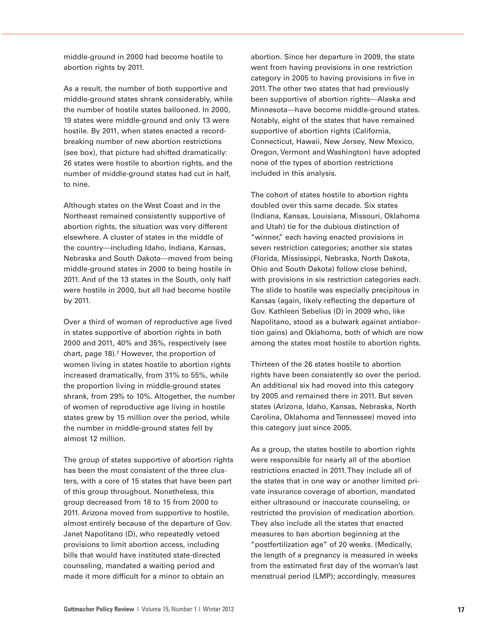middle-ground in 2000 had become hostile to abortion rights by 2011.

As a result, the number of both supportive and middle-ground states shrank considerably, while the number of hostile states ballooned. In 2000, 19 states were middle-ground and only 13 were hostile. By 2011, when states enacted a recordbreaking number of new abortion restrictions (see box), that picture had shifted dramatically: 26 states were hostile to abortion rights, and the number of middle-ground states had cut in half, to nine.

Although states on the West Coast and in the Northeast remained consistently supportive of abortion rights, the situation was very different elsewhere. A cluster of states in the middle of the country—including Idaho, Indiana, Kansas, Nebraska and South Dakota—moved from being middle-ground states in 2000 to being hostile in 2011. And of the 13 states in the South, only half were hostile in 2000, but all had become hostile by 2011.

Over a third of women of reproductive age lived in states supportive of abortion rights in both 2000 and 2011, 40% and 35%, respectively (see chart, page  $18$ ).<sup>2</sup> However, the proportion of women living in states hostile to abortion rights increased dramatically, from 31% to 55%, while the proportion living in middle-ground states shrank, from 29% to 10%. Altogether, the number of women of reproductive age living in hostile states grew by 15 million over the period, while the number in middle-ground states fell by almost 12 million.

The group of states supportive of abortion rights has been the most consistent of the three clusters, with a core of 15 states that have been part of this group throughout. Nonetheless, this group decreased from 18 to 15 from 2000 to 2011. Arizona moved from supportive to hostile, almost entirely because of the departure of Gov. Janet Napolitano (D), who repeatedly vetoed provisions to limit abortion access, including bills that would have instituted state-directed counseling, mandated a waiting period and made it more difficult for a minor to obtain an

abortion. Since her departure in 2009, the state went from having provisions in one restriction category in 2005 to having provisions in five in 2011. The other two states that had previously been supportive of abortion rights—Alaska and Minnesota—have become middle-ground states. Notably, eight of the states that have remained supportive of abortion rights (California, Connecticut, Hawaii, New Jersey, New Mexico, Oregon, Vermont and Washington) have adopted none of the types of abortion restrictions included in this analysis.

The cohort of states hostile to abortion rights doubled over this same decade. Six states (Indiana, Kansas, Louisiana, Missouri, Oklahoma and Utah) tie for the dubious distinction of "winner," each having enacted provisions in seven restriction categories; another six states (Florida, Mississippi, Nebraska, North Dakota, Ohio and South Dakota) follow close behind, with provisions in six restriction categories each. The slide to hostile was especially precipitous in Kansas (again, likely reflecting the departure of Gov. Kathleen Sebelius (D) in 2009 who, like Napolitano, stood as a bulwark against antiabortion gains) and Oklahoma, both of which are now among the states most hostile to abortion rights.

Thirteen of the 26 states hostile to abortion rights have been consistently so over the period. An additional six had moved into this category by 2005 and remained there in 2011. But seven states (Arizona, Idaho, Kansas, Nebraska, North Carolina, Oklahoma and Tennessee) moved into this category just since 2005.

As a group, the states hostile to abortion rights were responsible for nearly all of the abortion restrictions enacted in 2011. They include all of the states that in one way or another limited private insurance coverage of abortion, mandated either ultrasound or inaccurate counseling, or restricted the provision of medication abortion. They also include all the states that enacted measures to ban abortion beginning at the "postfertilization age" of 20 weeks. (Medically, the length of a pregnancy is measured in weeks from the estimated first day of the woman's last menstrual period (LMP); accordingly, measures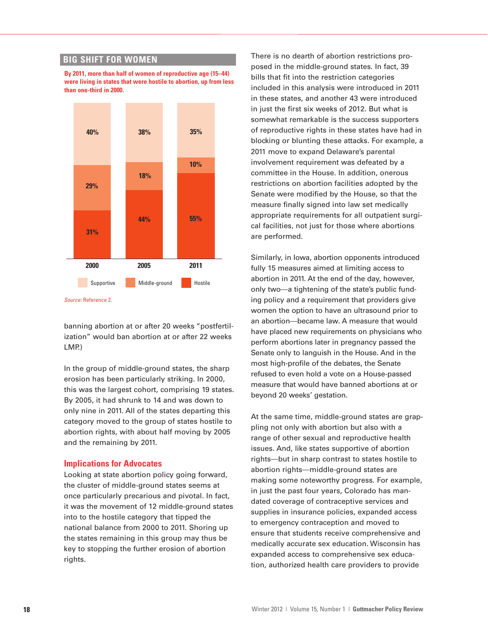## **BIG SHIFT FOR WOMEN**

**By 2011, more than half of women of reproductive age (15–44) were living in states that were hostile to abortion, up from less than one-third in 2000.**



Source: Reference 2.

banning abortion at or after 20 weeks "postfertilization" would ban abortion at or after 22 weeks LMP.)

In the group of middle-ground states, the sharp erosion has been particularly striking. In 2000, this was the largest cohort, comprising 19 states. By 2005, it had shrunk to 14 and was down to only nine in 2011. All of the states departing this category moved to the group of states hostile to abortion rights, with about half moving by 2005 and the remaining by 2011.

#### **Implications for Advocates**

Looking at state abortion policy going forward, the cluster of middle-ground states seems at once particularly precarious and pivotal. In fact, it was the movement of 12 middle-ground states into to the hostile category that tipped the national balance from 2000 to 2011. Shoring up the states remaining in this group may thus be key to stopping the further erosion of abortion rights.

There is no dearth of abortion restrictions proposed in the middle-ground states. In fact, 39 bills that fit into the restriction categories included in this analysis were introduced in 2011 in these states, and another 43 were introduced in just the first six weeks of 2012. But what is somewhat remarkable is the success supporters of reproductive rights in these states have had in blocking or blunting these attacks. For example, a 2011 move to expand Delaware's parental involvement requirement was defeated by a committee in the House. In addition, onerous restrictions on abortion facilities adopted by the Senate were modified by the House, so that the measure finally signed into law set medically appropriate requirements for all outpatient surgical facilities, not just for those where abortions are performed.

Similarly, in Iowa, abortion opponents introduced fully 15 measures aimed at limiting access to abortion in 2011. At the end of the day, however, only two—a tightening of the state's public funding policy and a requirement that providers give women the option to have an ultrasound prior to an abortion—became law. A measure that would have placed new requirements on physicians who perform abortions later in pregnancy passed the Senate only to languish in the House. And in the most high-profile of the debates, the Senate refused to even hold a vote on a House-passed measure that would have banned abortions at or beyond 20 weeks' gestation.

At the same time, middle-ground states are grappling not only with abortion but also with a range of other sexual and reproductive health issues. And, like states supportive of abortion rights—but in sharp contrast to states hostile to abortion rights—middle-ground states are making some noteworthy progress. For example, in just the past four years, Colorado has mandated coverage of contraceptive services and supplies in insurance policies, expanded access to emergency contraception and moved to ensure that students receive comprehensive and medically accurate sex education. Wisconsin has expanded access to comprehensive sex education, authorized health care providers to provide